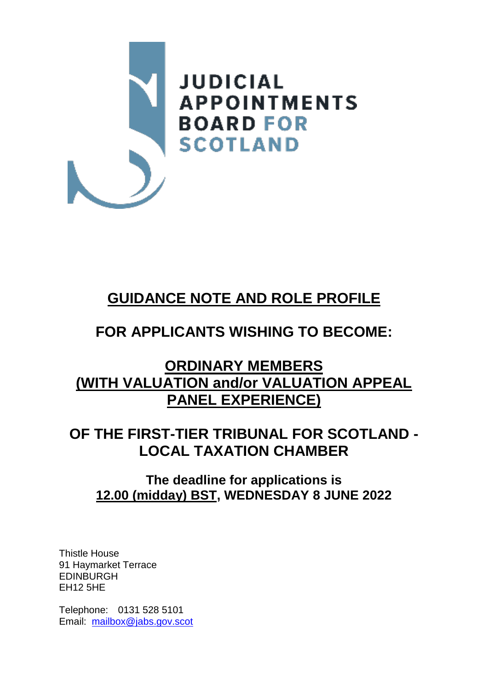

# **GUIDANCE NOTE AND ROLE PROFILE**

# **FOR APPLICANTS WISHING TO BECOME:**

## **ORDINARY MEMBERS (WITH VALUATION and/or VALUATION APPEAL PANEL EXPERIENCE)**

## **OF THE FIRST-TIER TRIBUNAL FOR SCOTLAND - LOCAL TAXATION CHAMBER**

## **The deadline for applications is 12.00 (midday) BST, WEDNESDAY 8 JUNE 2022**

Thistle House 91 Haymarket Terrace EDINBURGH EH12 5HE

Telephone: 0131 528 5101 Email: [mailbox@jabs.gov.scot](mailto:mailbox@jabs.gov.scot)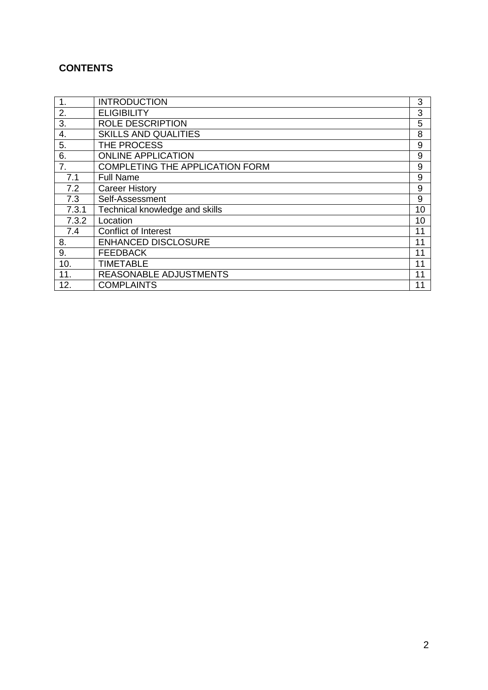## **CONTENTS**

| 1.    | <b>INTRODUCTION</b>                    | 3  |
|-------|----------------------------------------|----|
| 2.    | <b>ELIGIBILITY</b>                     | 3  |
| 3.    | ROLE DESCRIPTION                       | 5  |
| 4.    | <b>SKILLS AND QUALITIES</b>            | 8  |
| 5.    | THE PROCESS                            | 9  |
| 6.    | <b>ONLINE APPLICATION</b>              | 9  |
| 7.    | <b>COMPLETING THE APPLICATION FORM</b> | 9  |
| 7.1   | <b>Full Name</b>                       | 9  |
| 7.2   | <b>Career History</b>                  | 9  |
| 7.3   | Self-Assessment                        | 9  |
| 7.3.1 | Technical knowledge and skills         | 10 |
| 7.3.2 | Location                               | 10 |
| 7.4   | <b>Conflict of Interest</b>            | 11 |
| 8.    | <b>ENHANCED DISCLOSURE</b>             | 11 |
| 9.    | <b>FEEDBACK</b>                        | 11 |
| 10.   | <b>TIMETABLE</b>                       | 11 |
| 11.   | REASONABLE ADJUSTMENTS                 | 11 |
| 12.   | <b>COMPLAINTS</b>                      | 11 |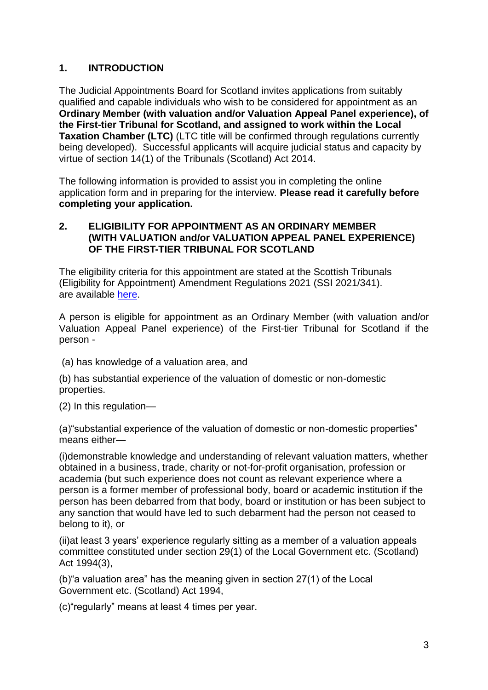## **1. INTRODUCTION**

The Judicial Appointments Board for Scotland invites applications from suitably qualified and capable individuals who wish to be considered for appointment as an **Ordinary Member (with valuation and/or Valuation Appeal Panel experience), of the First-tier Tribunal for Scotland, and assigned to work within the Local Taxation Chamber (LTC)** (LTC title will be confirmed through regulations currently being developed).Successful applicants will acquire judicial status and capacity by virtue of section 14(1) of the Tribunals (Scotland) Act 2014.

The following information is provided to assist you in completing the online application form and in preparing for the interview. **Please read it carefully before completing your application.**

#### **2. ELIGIBILITY FOR APPOINTMENT AS AN ORDINARY MEMBER (WITH VALUATION and/or VALUATION APPEAL PANEL EXPERIENCE) OF THE FIRST-TIER TRIBUNAL FOR SCOTLAND**

The eligibility criteria for this appointment are stated at the Scottish Tribunals (Eligibility for Appointment) Amendment Regulations 2021 (SSI 2021/341). are available [here.](https://www.legislation.gov.uk/ssi/2021/341/made)

A person is eligible for appointment as an Ordinary Member (with valuation and/or Valuation Appeal Panel experience) of the First-tier Tribunal for Scotland if the person -

(a) has knowledge of a valuation area, and

(b) has substantial experience of the valuation of domestic or non-domestic properties.

(2) In this regulation—

(a)"substantial experience of the valuation of domestic or non-domestic properties" means either—

(i)demonstrable knowledge and understanding of relevant valuation matters, whether obtained in a business, trade, charity or not-for-profit organisation, profession or academia (but such experience does not count as relevant experience where a person is a former member of professional body, board or academic institution if the person has been debarred from that body, board or institution or has been subject to any sanction that would have led to such debarment had the person not ceased to belong to it), or

(ii)at least 3 years' experience regularly sitting as a member of a valuation appeals committee constituted under section 29(1) of the Local Government etc. (Scotland) Act 1994[\(3\)](https://www.legislation.gov.uk/ssi/2021/341/made#f00003),

(b)"a valuation area" has the meaning given in section 27(1) of the Local Government etc. (Scotland) Act 1994,

(c)"regularly" means at least 4 times per year.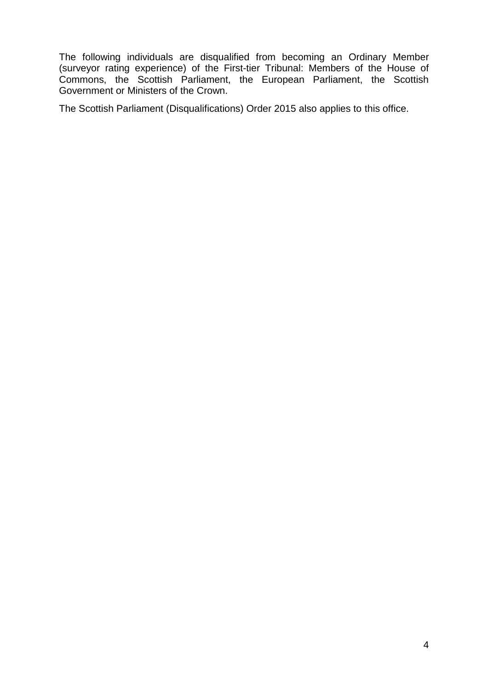The following individuals are disqualified from becoming an Ordinary Member (surveyor rating experience) of the First-tier Tribunal: Members of the House of Commons, the Scottish Parliament, the European Parliament, the Scottish Government or Ministers of the Crown.

The Scottish Parliament (Disqualifications) Order 2015 also applies to this office.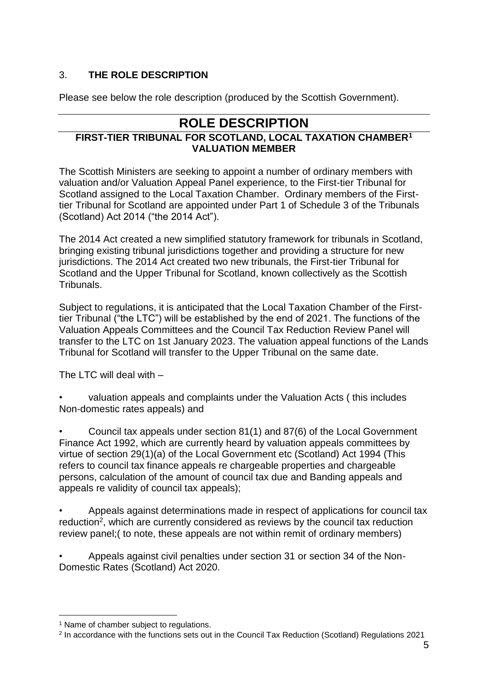## 3. **THE ROLE DESCRIPTION**

Please see below the role description (produced by the Scottish Government).

## **ROLE DESCRIPTION**

## **FIRST-TIER TRIBUNAL FOR SCOTLAND, LOCAL TAXATION CHAMBER<sup>1</sup> VALUATION MEMBER**

The Scottish Ministers are seeking to appoint a number of ordinary members with valuation and/or Valuation Appeal Panel experience, to the First-tier Tribunal for Scotland assigned to the Local Taxation Chamber. Ordinary members of the Firsttier Tribunal for Scotland are appointed under Part 1 of Schedule 3 of the Tribunals (Scotland) Act 2014 ("the 2014 Act").

The 2014 Act created a new simplified statutory framework for tribunals in Scotland, bringing existing tribunal jurisdictions together and providing a structure for new jurisdictions. The 2014 Act created two new tribunals, the First-tier Tribunal for Scotland and the Upper Tribunal for Scotland, known collectively as the Scottish Tribunals.

Subject to regulations, it is anticipated that the Local Taxation Chamber of the Firsttier Tribunal ("the LTC") will be established by the end of 2021. The functions of the Valuation Appeals Committees and the Council Tax Reduction Review Panel will transfer to the LTC on 1st January 2023. The valuation appeal functions of the Lands Tribunal for Scotland will transfer to the Upper Tribunal on the same date.

The  $\overline{LC}$  will deal with  $-$ 

• valuation appeals and complaints under the Valuation Acts ( this includes Non-domestic rates appeals) and

• Council tax appeals under section 81(1) and 87(6) of the Local Government Finance Act 1992, which are currently heard by valuation appeals committees by virtue of section 29(1)(a) of the Local Government etc (Scotland) Act 1994 (This refers to council tax finance appeals re chargeable properties and chargeable persons, calculation of the amount of council tax due and Banding appeals and appeals re validity of council tax appeals);

• Appeals against determinations made in respect of applications for council tax reduction<sup>2</sup>, which are currently considered as reviews by the council tax reduction review panel;( to note, these appeals are not within remit of ordinary members)

• Appeals against civil penalties under section 31 or section 34 of the Non-Domestic Rates (Scotland) Act 2020.

1

<sup>&</sup>lt;sup>1</sup> Name of chamber subject to regulations.

<sup>2</sup> In accordance with the functions sets out in the Council Tax Reduction (Scotland) Regulations 2021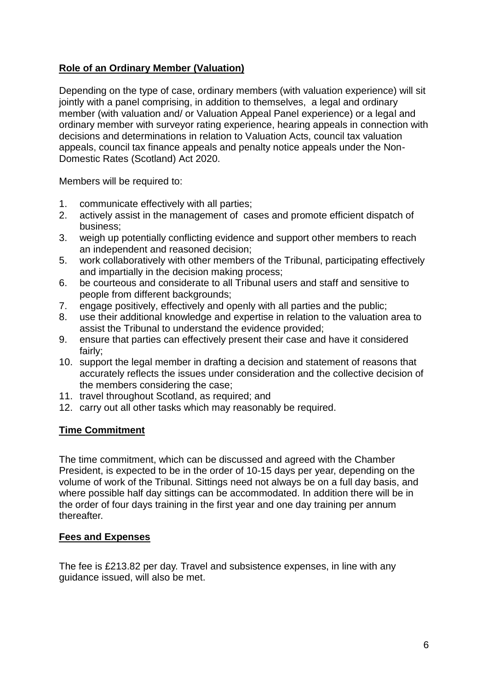## **Role of an Ordinary Member (Valuation)**

Depending on the type of case, ordinary members (with valuation experience) will sit jointly with a panel comprising, in addition to themselves, a legal and ordinary member (with valuation and/ or Valuation Appeal Panel experience) or a legal and ordinary member with surveyor rating experience, hearing appeals in connection with decisions and determinations in relation to Valuation Acts, council tax valuation appeals, council tax finance appeals and penalty notice appeals under the Non-Domestic Rates (Scotland) Act 2020.

Members will be required to:

- 1. communicate effectively with all parties;
- 2. actively assist in the management of cases and promote efficient dispatch of business;
- 3. weigh up potentially conflicting evidence and support other members to reach an independent and reasoned decision;
- 5. work collaboratively with other members of the Tribunal, participating effectively and impartially in the decision making process;
- 6. be courteous and considerate to all Tribunal users and staff and sensitive to people from different backgrounds;
- 7. engage positively, effectively and openly with all parties and the public;
- 8. use their additional knowledge and expertise in relation to the valuation area to assist the Tribunal to understand the evidence provided;
- 9. ensure that parties can effectively present their case and have it considered fairly;
- 10. support the legal member in drafting a decision and statement of reasons that accurately reflects the issues under consideration and the collective decision of the members considering the case;
- 11. travel throughout Scotland, as required; and
- 12. carry out all other tasks which may reasonably be required.

## **Time Commitment**

The time commitment, which can be discussed and agreed with the Chamber President, is expected to be in the order of 10-15 days per year, depending on the volume of work of the Tribunal. Sittings need not always be on a full day basis, and where possible half day sittings can be accommodated. In addition there will be in the order of four days training in the first year and one day training per annum thereafter.

## **Fees and Expenses**

The fee is £213.82 per day. Travel and subsistence expenses, in line with any guidance issued, will also be met.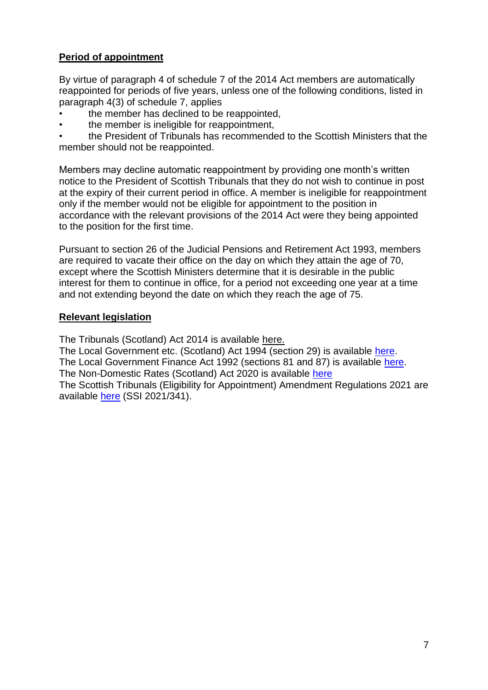## **Period of appointment**

By virtue of paragraph 4 of schedule 7 of the 2014 Act members are automatically reappointed for periods of five years, unless one of the following conditions, listed in paragraph 4(3) of schedule 7, applies

- the member has declined to be reappointed,
- the member is ineligible for reappointment,

• the President of Tribunals has recommended to the Scottish Ministers that the member should not be reappointed.

Members may decline automatic reappointment by providing one month's written notice to the President of Scottish Tribunals that they do not wish to continue in post at the expiry of their current period in office. A member is ineligible for reappointment only if the member would not be eligible for appointment to the position in accordance with the relevant provisions of the 2014 Act were they being appointed to the position for the first time.

Pursuant to section 26 of the Judicial Pensions and Retirement Act 1993, members are required to vacate their office on the day on which they attain the age of 70, except where the Scottish Ministers determine that it is desirable in the public interest for them to continue in office, for a period not exceeding one year at a time and not extending beyond the date on which they reach the age of 75.

#### **Relevant legislation**

The Tribunals (Scotland) Act 2014 is available [here.](http://www.legislation.gov.uk/asp/2014/10/enacted)

The Local Government etc. (Scotland) Act 1994 (section 29) is available [here.](https://www.legislation.gov.uk/ukpga/1994/39/contents/enacted?view=plain) The Local Government Finance Act 1992 (sections 81 and 87) is available [here.](https://www.legislation.gov.uk/ukpga/1992/14/contents) The Non-Domestic Rates (Scotland) Act 2020 is available [here](https://www.legislation.gov.uk/asp/2020/4/enacted?timeline=false) The Scottish Tribunals (Eligibility for Appointment) Amendment Regulations 2021 are available [here](https://www.legislation.gov.uk/ssi/2021/341/made) (SSI 2021/341).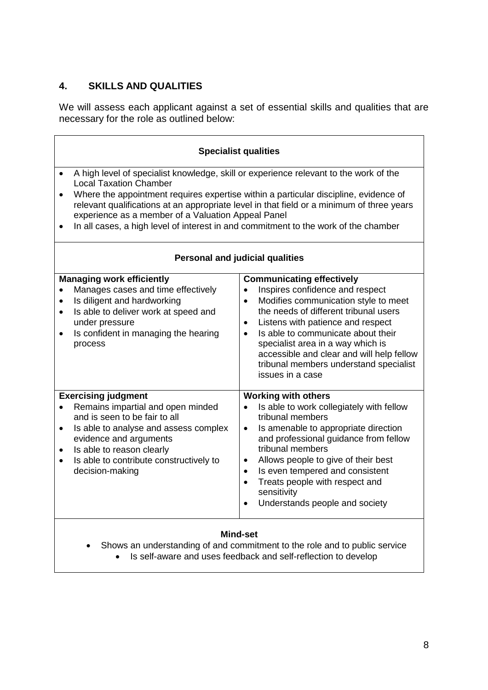## **4. SKILLS AND QUALITIES**

We will assess each applicant against a set of essential skills and qualities that are necessary for the role as outlined below:

| <b>Specialist qualities</b>                                                                                                                                                                                                                                                                                                                                                                                                                                                        |                                                                                                                                                                                                                                                                                                                                                                                                                                            |  |  |  |
|------------------------------------------------------------------------------------------------------------------------------------------------------------------------------------------------------------------------------------------------------------------------------------------------------------------------------------------------------------------------------------------------------------------------------------------------------------------------------------|--------------------------------------------------------------------------------------------------------------------------------------------------------------------------------------------------------------------------------------------------------------------------------------------------------------------------------------------------------------------------------------------------------------------------------------------|--|--|--|
| A high level of specialist knowledge, skill or experience relevant to the work of the<br>$\bullet$<br><b>Local Taxation Chamber</b><br>Where the appointment requires expertise within a particular discipline, evidence of<br>$\bullet$<br>relevant qualifications at an appropriate level in that field or a minimum of three years<br>experience as a member of a Valuation Appeal Panel<br>In all cases, a high level of interest in and commitment to the work of the chamber |                                                                                                                                                                                                                                                                                                                                                                                                                                            |  |  |  |
| <b>Personal and judicial qualities</b>                                                                                                                                                                                                                                                                                                                                                                                                                                             |                                                                                                                                                                                                                                                                                                                                                                                                                                            |  |  |  |
| <b>Managing work efficiently</b><br>Manages cases and time effectively<br>$\bullet$<br>Is diligent and hardworking<br>$\bullet$<br>Is able to deliver work at speed and<br>$\bullet$<br>under pressure<br>Is confident in managing the hearing<br>process                                                                                                                                                                                                                          | <b>Communicating effectively</b><br>Inspires confidence and respect<br>$\bullet$<br>Modifies communication style to meet<br>$\bullet$<br>the needs of different tribunal users<br>Listens with patience and respect<br>$\bullet$<br>Is able to communicate about their<br>$\bullet$<br>specialist area in a way which is<br>accessible and clear and will help fellow<br>tribunal members understand specialist<br>issues in a case        |  |  |  |
| <b>Exercising judgment</b><br>Remains impartial and open minded<br>$\bullet$<br>and is seen to be fair to all<br>Is able to analyse and assess complex<br>$\bullet$<br>evidence and arguments<br>Is able to reason clearly<br>$\bullet$<br>Is able to contribute constructively to<br>decision-making                                                                                                                                                                              | <b>Working with others</b><br>Is able to work collegiately with fellow<br>$\bullet$<br>tribunal members<br>Is amenable to appropriate direction<br>$\bullet$<br>and professional guidance from fellow<br>tribunal members<br>Allows people to give of their best<br>$\bullet$<br>Is even tempered and consistent<br>$\bullet$<br>Treats people with respect and<br>$\bullet$<br>sensitivity<br>Understands people and society<br>$\bullet$ |  |  |  |
| <b>Mind-set</b><br>Shows an understanding of and commitment to the role and to public service<br>Is self-aware and uses feedback and self-reflection to develop                                                                                                                                                                                                                                                                                                                    |                                                                                                                                                                                                                                                                                                                                                                                                                                            |  |  |  |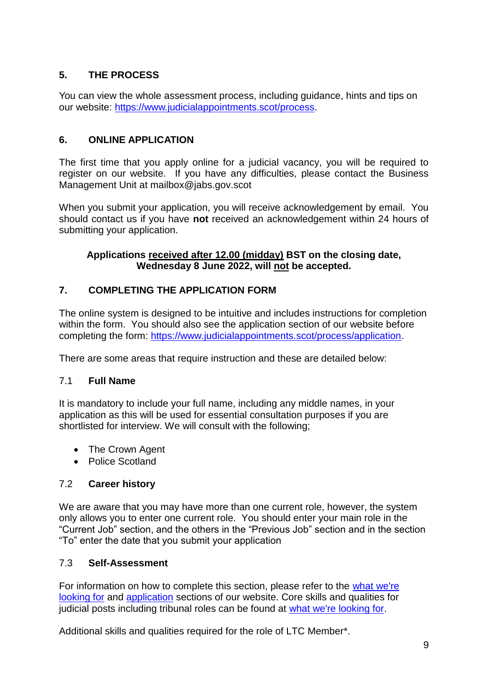## **5. THE PROCESS**

You can view the whole assessment process, including guidance, hints and tips on our website: [https://www.judicialappointments.scot/process.](https://www.judicialappointments.scot/process)

## **6. ONLINE APPLICATION**

The first time that you apply online for a judicial vacancy, you will be required to register on our website. If you have any difficulties, please contact the Business Management Unit at mailbox@jabs.gov.scot

When you submit your application, you will receive acknowledgement by email. You should contact us if you have **not** received an acknowledgement within 24 hours of submitting your application.

#### **Applications received after 12.00 (midday) BST on the closing date, Wednesday 8 June 2022, will not be accepted.**

## **7. COMPLETING THE APPLICATION FORM**

The online system is designed to be intuitive and includes instructions for completion within the form. You should also see the application section of our website before completing the form: [https://www.judicialappointments.scot/process/application.](https://www.judicialappointments.scot/process/application)

There are some areas that require instruction and these are detailed below:

## 7.1 **Full Name**

It is mandatory to include your full name, including any middle names, in your application as this will be used for essential consultation purposes if you are shortlisted for interview. We will consult with the following;

- The Crown Agent
- Police Scotland

## 7.2 **Career history**

We are aware that you may have more than one current role, however, the system only allows you to enter one current role. You should enter your main role in the "Current Job" section, and the others in the "Previous Job" section and in the section "To" enter the date that you submit your application

## 7.3 **Self-Assessment**

For information on how to complete this section, please refer to the [what we're](https://www.judicialappointments.scot/resources/what-were-looking)  [looking for](https://www.judicialappointments.scot/resources/what-were-looking) and [application](https://www.judicialappointments.scot/process/application) sections of our website. Core skills and qualities for judicial posts including tribunal roles can be found at [what we're looking for.](https://www.judicialappointments.scot/resources/what-were-looking)

Additional skills and qualities required for the role of LTC Member\*.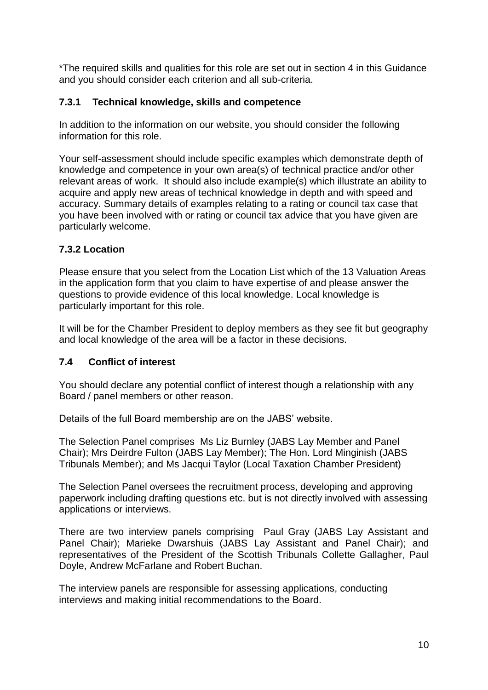\*The required skills and qualities for this role are set out in section 4 in this Guidance and you should consider each criterion and all sub-criteria.

## **7.3.1 Technical knowledge, skills and competence**

In addition to the information on our website, you should consider the following information for this role.

Your self-assessment should include specific examples which demonstrate depth of knowledge and competence in your own area(s) of technical practice and/or other relevant areas of work. It should also include example(s) which illustrate an ability to acquire and apply new areas of technical knowledge in depth and with speed and accuracy. Summary details of examples relating to a rating or council tax case that you have been involved with or rating or council tax advice that you have given are particularly welcome.

## **7.3.2 Location**

Please ensure that you select from the Location List which of the 13 Valuation Areas in the application form that you claim to have expertise of and please answer the questions to provide evidence of this local knowledge. Local knowledge is particularly important for this role.

It will be for the Chamber President to deploy members as they see fit but geography and local knowledge of the area will be a factor in these decisions.

## **7.4 Conflict of interest**

You should declare any potential conflict of interest though a relationship with any Board / panel members or other reason.

Details of the full Board membership are on the JABS' website.

The Selection Panel comprises Ms Liz Burnley (JABS Lay Member and Panel Chair); Mrs Deirdre Fulton (JABS Lay Member); The Hon. Lord Minginish (JABS Tribunals Member); and Ms Jacqui Taylor (Local Taxation Chamber President)

The Selection Panel oversees the recruitment process, developing and approving paperwork including drafting questions etc. but is not directly involved with assessing applications or interviews.

There are two interview panels comprising Paul Gray (JABS Lay Assistant and Panel Chair); Marieke Dwarshuis (JABS Lay Assistant and Panel Chair); and representatives of the President of the Scottish Tribunals Collette Gallagher, Paul Doyle, Andrew McFarlane and Robert Buchan.

The interview panels are responsible for assessing applications, conducting interviews and making initial recommendations to the Board.